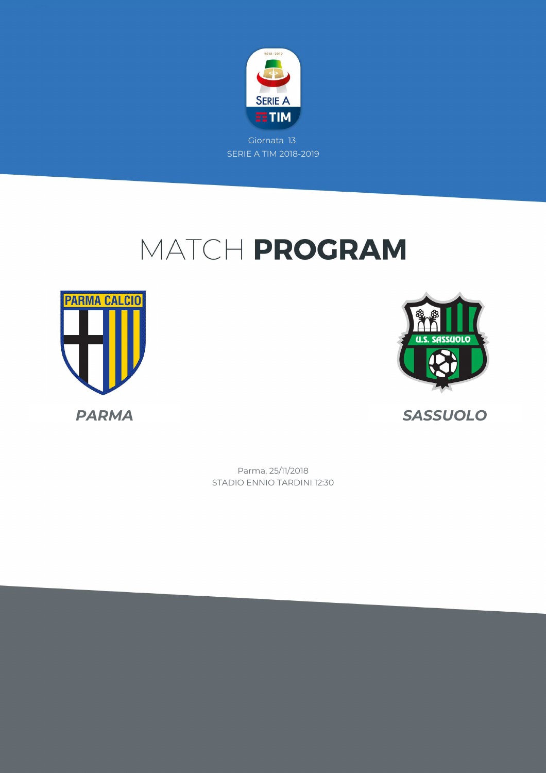

## MATCH PROGRAM





*PARMA SASSUOLO*

STADIO ENNIO TARDINI 12:30 Parma, 25/11/2018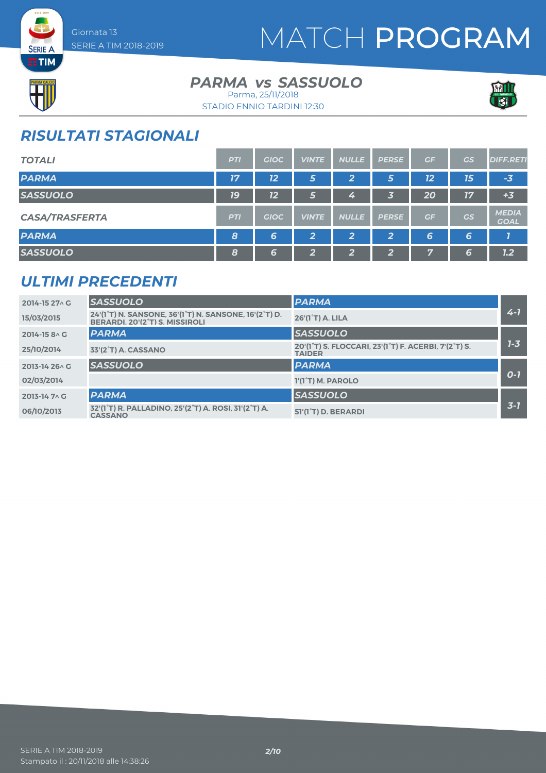

## MATCH PROGRAM



**SERIE A** 

#### **PARMA** *vs* SASSUOLO Parma, 25/11/2018





### *RISULTATI STAGIONALI*

| <b>TOTALI</b>         | <b>PTI</b>       | <b>GIOC</b> | <b>VINTE</b>   | <b>NULLE</b>            | <b>PERSE</b> | GF | <b>GS</b> | <b>DIFF.RETI</b>            |
|-----------------------|------------------|-------------|----------------|-------------------------|--------------|----|-----------|-----------------------------|
| <b>PARMA</b>          | 17               | 12          | 5              | $\mathbf{2}$            | 5            | 12 | 15        | $-3$                        |
| <b>SASSUOLO</b>       | <b>19</b>        | 12          | 5              | 4                       | 3            | 20 | 17        | $+3$                        |
| <b>CASA/TRASFERTA</b> | <b>PTI</b>       | <b>GIOC</b> | <b>VINTE</b>   | <b>NULLE</b>            | <b>PERSE</b> | GF | GS        | <b>MEDIA</b><br><b>GOAL</b> |
| <b>PARMA</b>          | $\boldsymbol{8}$ | 6           | $\overline{2}$ | $\overline{\mathbf{2}}$ | 2            | 6  | 6         |                             |
| <b>SASSUOLO</b>       | 8                | 6           | $\mathbf{2}$   | 2                       | ാ<br>z.,     | 7  | 6         | 1.2                         |

#### *ULTIMI PRECEDENTI*

| 2014-15 27 \ G         | <b>SASSUOLO</b>                                                                         | <b>PARMA</b>                                                                                                 |         |
|------------------------|-----------------------------------------------------------------------------------------|--------------------------------------------------------------------------------------------------------------|---------|
| 15/03/2015             | 24'(1°T) N. SANSONE, 36'(1°T) N. SANSONE, 16'(2°T) D.<br>BERARDI, 20'(2°T) S. MISSIROLI | 26'(1°T) A. LILA                                                                                             | $4 - 7$ |
| 2014-15 8 \ G          | <b>PARMA</b>                                                                            | <b>SASSUOLO</b>                                                                                              |         |
| 25/10/2014             | 33'(2°T) A. CASSANO                                                                     | 20'(1 <sup>°</sup> T) S. FLOCCARI, 23'(1 <sup>°</sup> T) F. ACERBI, 7'(2 <sup>°</sup> T) S.<br><b>TAIDER</b> | $1 - 3$ |
| $2013 - 1426 \wedge G$ | <b>SASSUOLO</b>                                                                         | <b>PARMA</b>                                                                                                 |         |
| 02/03/2014             |                                                                                         | 1'(1°T) M. PAROLO                                                                                            | $O-I$   |
| $2013 - 14$ 7 \ G      | <b>PARMA</b>                                                                            | <b>SASSUOLO</b>                                                                                              |         |
| 06/10/2013             | 32'(1°T) R. PALLADINO, 25'(2°T) A. ROSI, 31'(2°T) A.<br><b>CASSANO</b>                  | 51'(1 <sup>°</sup> T) D. BERARDI                                                                             | $3 - 7$ |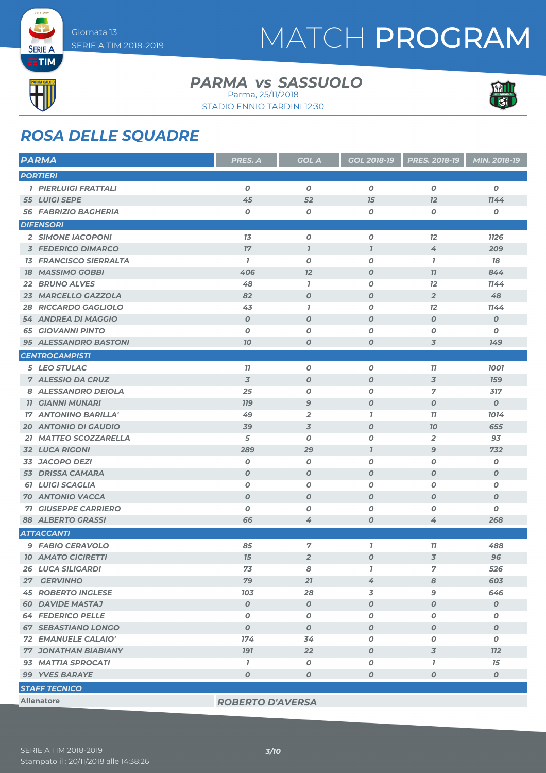**SERIE A EETIM** 

## MATCH PROGRAM

#### **PARMA** *vs* SASSUOLO Parma, 25/11/2018

STADIO ENNIO TARDINI 12:30



### *ROSA DELLE SQUADRE*

| <b>PARMA</b>                   | PRES. A                 | <b>GOL A</b>     | GOL 2018-19      | PRES. 2018-19    | MIN. 2018-19     |
|--------------------------------|-------------------------|------------------|------------------|------------------|------------------|
| <b>PORTIERI</b>                |                         |                  |                  |                  |                  |
| 1 PIERLUIGI FRATTALI           | O                       | $\boldsymbol{O}$ | $\boldsymbol{0}$ | $\overline{o}$   | 0                |
| 55 LUIGI SEPE                  | 45                      | 52               | 15               | 12               | 1144             |
| <b>56 FABRIZIO BAGHERIA</b>    | O                       | O                | 0                | $\boldsymbol{O}$ | O                |
| <b>DIFENSORI</b>               |                         |                  |                  |                  |                  |
| <b>2 SIMONE IACOPONI</b>       | 13                      | O                | $\boldsymbol{0}$ | 12               | <b>1126</b>      |
| <b>3 FEDERICO DIMARCO</b>      | 17                      | $\mathbf{7}$     | $\overline{I}$   | 4                | 209              |
| <b>13 FRANCISCO SIERRALTA</b>  | $\mathbf{7}$            | O                | 0                | $\mathbf{7}$     | 78               |
| <b>18 MASSIMO GOBBI</b>        | 406                     | 12               | $\boldsymbol{0}$ | 77               | 844              |
| <b>22 BRUNO ALVES</b>          | 48                      | $\mathbf{I}$     | 0                | 12               | 1144             |
| 23 MARCELLO GAZZOLA            | 82                      | O                | $\boldsymbol{0}$ | $\overline{2}$   | 48               |
| <b>RICCARDO GAGLIOLO</b><br>28 | 43                      | $\mathbf{I}$     | 0                | 12               | 1144             |
| 54 ANDREA DI MAGGIO            | $\boldsymbol{O}$        | $\boldsymbol{O}$ | $\boldsymbol{0}$ | $\boldsymbol{O}$ | $\boldsymbol{o}$ |
| <b>65 GIOVANNI PINTO</b>       | $\boldsymbol{0}$        | O                | 0                | 0                | O                |
| <b>95 ALESSANDRO BASTONI</b>   | 70                      | $\boldsymbol{O}$ | $\boldsymbol{0}$ | 3                | 149              |
| <b>CENTROCAMPISTI</b>          |                         |                  |                  |                  |                  |
| 5 LEO STULAC                   | 11                      | 0                | $\boldsymbol{0}$ | 77               | 1001             |
| <b>7 ALESSIO DA CRUZ</b>       | 3                       | $\boldsymbol{O}$ | $\boldsymbol{0}$ | $\overline{3}$   | <b>159</b>       |
| 8 ALESSANDRO DEIOLA            | 25                      | 0                | 0                | 7                | 317              |
| <b>11 GIANNI MUNARI</b>        | <b>779</b>              | 9                | $\boldsymbol{0}$ | $\boldsymbol{O}$ | $\boldsymbol{O}$ |
| <b>17 ANTONINO BARILLA'</b>    | 49                      | $\overline{2}$   | $\overline{1}$   | 77               | 1014             |
| <b>20 ANTONIO DI GAUDIO</b>    | 39                      | 3                | $\boldsymbol{0}$ | 70               | 655              |
| 21 MATTEO SCOZZARELLA          | 5                       | O                | 0                | $\overline{2}$   | 93               |
| <b>32 LUCA RIGONI</b>          | 289                     | 29               | $\overline{I}$   | $\mathbf{9}$     | 732              |
| 33 JACOPO DEZI                 | O                       | 0                | 0                | O                | $\boldsymbol{o}$ |
| <b>53 DRISSA CAMARA</b>        | $\boldsymbol{O}$        | $\boldsymbol{O}$ | $\boldsymbol{0}$ | $\boldsymbol{O}$ | $\boldsymbol{o}$ |
| <b>61 LUIGI SCAGLIA</b>        | $\boldsymbol{0}$        | 0                | 0                | O                | O                |
| <b>70 ANTONIO VACCA</b>        | $\boldsymbol{O}$        | $\boldsymbol{O}$ | $\boldsymbol{0}$ | $\boldsymbol{O}$ | $\boldsymbol{O}$ |
| <b>71 GIUSEPPE CARRIERO</b>    | $\boldsymbol{0}$        | O                | O                | $\boldsymbol{O}$ | $\boldsymbol{o}$ |
| <b>88 ALBERTO GRASSI</b>       | 66                      | 4                | $\boldsymbol{0}$ | 4                | 268              |
| <b>ATTACCANTI</b>              |                         |                  |                  |                  |                  |
| 9 FABIO CERAVOLO               | 85                      | 7                | $\overline{I}$   | 77               | 488              |
| <b>10 AMATO CICIRETTI</b>      | 15                      | $\overline{2}$   | $\boldsymbol{o}$ | 3                | 96               |
| <b>26 LUCA SILIGARDI</b>       | 73                      | 8                | $\mathbf{I}$     | 7                | 526              |
| 27 GERVINHO                    | 79                      | 21               | 4                | 8                | 603              |
| <b>45 ROBERTO INGLESE</b>      | 103                     | 28               | 3                | 9                | 646              |
| <b>60 DAVIDE MASTAJ</b>        | 0                       | $\boldsymbol{o}$ | $\boldsymbol{o}$ | $\boldsymbol{0}$ | $\boldsymbol{o}$ |
| <b>64 FEDERICO PELLE</b>       | 0                       | O                | 0                | 0                | 0                |
| <b>67 SEBASTIANO LONGO</b>     | $\boldsymbol{0}$        | $\boldsymbol{O}$ | $\boldsymbol{0}$ | $\boldsymbol{0}$ | $\boldsymbol{o}$ |
| 72 EMANUELE CALAIO'            | 174                     | 34               | 0                | 0                | 0                |
| <b>77 JONATHAN BIABIANY</b>    | <b>191</b>              | 22               | $\boldsymbol{o}$ | 3                | <b>112</b>       |
| 93 MATTIA SPROCATI             | $\mathbf{I}$            | O                | 0                | 1                | 15               |
| 99 YVES BARAYE                 | $\boldsymbol{O}$        | $\boldsymbol{O}$ | $\boldsymbol{o}$ | $\boldsymbol{0}$ | $\boldsymbol{o}$ |
| <b>STAFF TECNICO</b>           |                         |                  |                  |                  |                  |
| <b>Allenatore</b>              | <b>ROBERTO D'AVERSA</b> |                  |                  |                  |                  |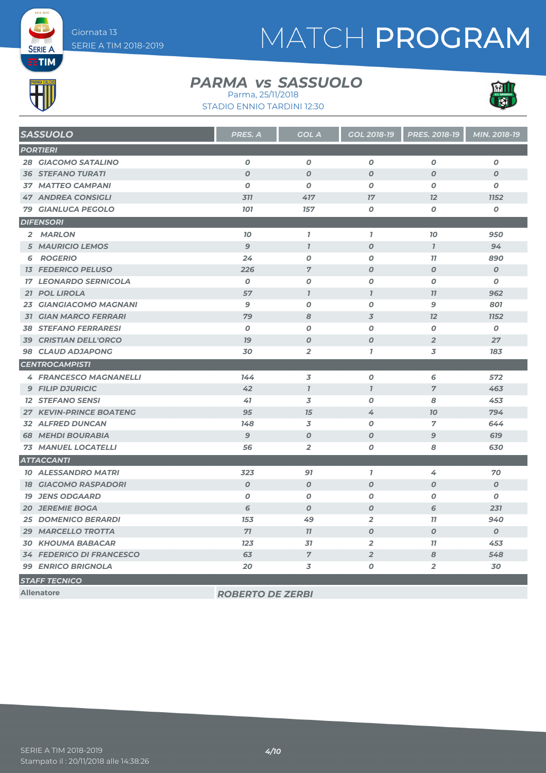# MATCH PROGRAM

### **EETIM** PARMA CA

**SERIE A** 

#### **PARMA** *vs* SASSUOLO Parma, 25/11/2018

STADIO ENNIO TARDINI 12:30



| <b>SASSUOLO</b>                 | PRES. A          | <b>GOL A</b>     | <b>GOL 2018-19</b> | PRES. 2018-19    | MIN. 2018-19     |
|---------------------------------|------------------|------------------|--------------------|------------------|------------------|
| <b>PORTIERI</b>                 |                  |                  |                    |                  |                  |
| <b>28 GIACOMO SATALINO</b>      | $\boldsymbol{o}$ | $\boldsymbol{o}$ | $\boldsymbol{o}$   | $\boldsymbol{o}$ | $\boldsymbol{o}$ |
| <b>36 STEFANO TURATI</b>        | $\boldsymbol{0}$ | $\boldsymbol{O}$ | $\boldsymbol{O}$   | $\boldsymbol{O}$ | $\boldsymbol{O}$ |
| <b>37 MATTEO CAMPANI</b>        | $\boldsymbol{0}$ | $\boldsymbol{O}$ | 0                  | $\boldsymbol{O}$ | 0                |
| <b>47 ANDREA CONSIGLI</b>       | 311              | 417              | 17                 | 12               | <b>1152</b>      |
| <b>79 GIANLUCA PEGOLO</b>       | <b>101</b>       | 157              | 0                  | 0                | $\boldsymbol{o}$ |
| <b>DIFENSORI</b>                |                  |                  |                    |                  |                  |
| 2 MARLON                        | 10               | $\mathbf{7}$     | $\mathbf{I}$       | 70               | 950              |
| <b>5 MAURICIO LEMOS</b>         | $\overline{9}$   | $\mathbf{I}$     | $\boldsymbol{O}$   | $\mathbf{I}$     | 94               |
| <b>6 ROGERIO</b>                | 24               | $\boldsymbol{0}$ | 0                  | 77               | 890              |
| <b>13 FEDERICO PELUSO</b>       | 226              | $\overline{7}$   | $\boldsymbol{O}$   | $\boldsymbol{O}$ | $\boldsymbol{O}$ |
| <b>17 LEONARDO SERNICOLA</b>    | $\boldsymbol{0}$ | $\boldsymbol{O}$ | $\boldsymbol{o}$   | $\boldsymbol{O}$ | $\boldsymbol{O}$ |
| 21 POL LIROLA                   | 57               | $\mathbf{I}$     | $\mathbf{7}$       | 77               | 962              |
| 23 GIANGIACOMO MAGNANI          | 9                | $\boldsymbol{o}$ | 0                  | 9                | 801              |
| <b>31 GIAN MARCO FERRARI</b>    | 79               | 8                | 3                  | 12               | <b>1152</b>      |
| <b>38 STEFANO FERRARESI</b>     | $\boldsymbol{0}$ | $\boldsymbol{O}$ | $\boldsymbol{O}$   | $\boldsymbol{0}$ | $\boldsymbol{0}$ |
| <b>39 CRISTIAN DELL'ORCO</b>    | 79               | $\boldsymbol{O}$ | $\boldsymbol{O}$   | $\overline{2}$   | 27               |
| <b>98 CLAUD ADJAPONG</b>        | 30               | $\overline{2}$   | $\mathbf{I}$       | 3                | 183              |
| <b>CENTROCAMPISTI</b>           |                  |                  |                    |                  |                  |
| <b>4 FRANCESCO MAGNANELLI</b>   | 144              | 3                | $\boldsymbol{o}$   | 6                | 572              |
| <b>9 FILIP DJURICIC</b>         | 42               | $\mathbf{I}$     | $\mathbf{I}$       | $\overline{7}$   | 463              |
| <b>12 STEFANO SENSI</b>         | 41               | 3                | 0                  | 8                | 453              |
| <b>27 KEVIN-PRINCE BOATENG</b>  | 95               | 75               | 4                  | 70               | 794              |
| <b>32 ALFRED DUNCAN</b>         | 148              | 3                | $\boldsymbol{o}$   | $\overline{7}$   | 644              |
| <b>68 MEHDI BOURABIA</b>        | 9                | $\boldsymbol{0}$ | $\boldsymbol{O}$   | 9                | 619              |
| <b>73 MANUEL LOCATELLI</b>      | 56               | $\overline{2}$   | $\boldsymbol{o}$   | 8                | 630              |
| <b>ATTACCANTI</b>               |                  |                  |                    |                  |                  |
| <b>10 ALESSANDRO MATRI</b>      | 323              | 97               | $\mathbf{I}$       | 4                | 70               |
| <b>18 GIACOMO RASPADORI</b>     | $\boldsymbol{O}$ | $\boldsymbol{O}$ | $\boldsymbol{O}$   | $\boldsymbol{O}$ | $\boldsymbol{O}$ |
| <b>19 JENS ODGAARD</b>          | $\boldsymbol{0}$ | $\boldsymbol{O}$ | 0                  | 0                | 0                |
| <b>20 JEREMIE BOGA</b>          | 6                | $\boldsymbol{0}$ | $\boldsymbol{O}$   | 6                | 231              |
| <b>25 DOMENICO BERARDI</b>      | 153              | 49               | $\overline{2}$     | 11               | 940              |
| 29 MARCELLO TROTTA              | 71               | 77               | $\boldsymbol{o}$   | $\boldsymbol{0}$ | $\boldsymbol{O}$ |
| <b>30 KHOUMA BABACAR</b>        | 123              | 31               | $\overline{2}$     | 77               | 453              |
| <b>34 FEDERICO DI FRANCESCO</b> | 63               | $\overline{7}$   | $\overline{2}$     | 8                | 548              |
| <b>99 ENRICO BRIGNOLA</b>       | 20               | 3                | 0                  | $\overline{2}$   | 30               |
| <b>STAFF TECNICO</b>            |                  |                  |                    |                  |                  |

**Allenatore** *ROBERTO DE ZERBI*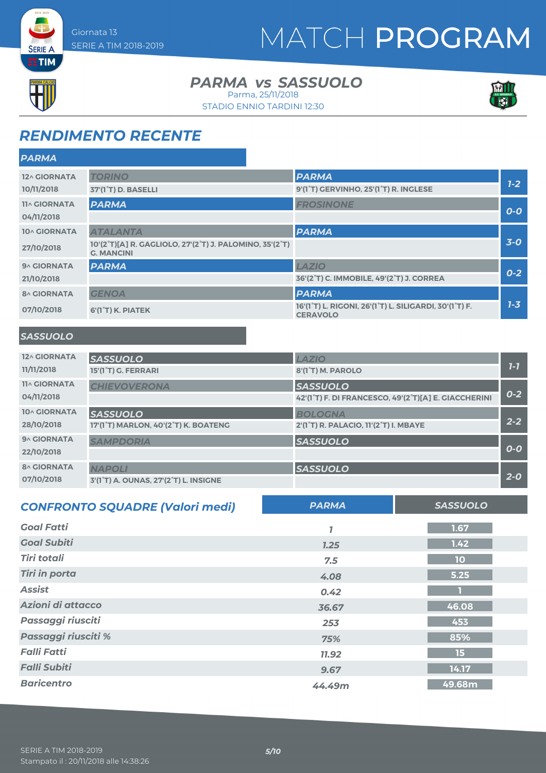## MATCH PROGRAM



**SERIE A** 

#### **PARMA** *vs* SASSUOLO Parma, 25/11/2018

STADIO ENNIO TARDINI 12:30



### *RENDIMENTO RECENTE*

| <b>PARMA</b>        |                                                                              |                                                                           |         |
|---------------------|------------------------------------------------------------------------------|---------------------------------------------------------------------------|---------|
| 12^ GIORNATA        | <b>TORINO</b>                                                                | <b>PARMA</b>                                                              |         |
| 10/11/2018          | 37'(1 <sup>°</sup> T) D. BASELLI                                             | 9'(1 <sup>°</sup> T) GERVINHO, 25'(1 <sup>°</sup> T) R. INGLESE           | $7-2$   |
| <b>11^ GIORNATA</b> | <b>PARMA</b>                                                                 | <b>FROSINONE</b>                                                          | $O-O$   |
| 04/11/2018          |                                                                              |                                                                           |         |
| 10^ GIORNATA        | <b>ATALANTA</b>                                                              | <b>PARMA</b>                                                              |         |
| 27/10/2018          | 10'(2°T)[A] R. GAGLIOLO, 27'(2°T) J. PALOMINO, 35'(2°T)<br><b>G. MANCINI</b> |                                                                           | $3-0$   |
| 9^ GIORNATA         | <b>PARMA</b>                                                                 | <b>LAZIO</b>                                                              |         |
| 21/10/2018          |                                                                              | 36'(2°T) C. IMMOBILE, 49'(2°T) J. CORREA                                  | $0 - 2$ |
| <b>8^ GIORNATA</b>  | <b>GENOA</b>                                                                 | <b>PARMA</b>                                                              |         |
| 07/10/2018          | 6'(1°T) K. PIATEK                                                            | 16'(1°T) L. RIGONI, 26'(1°T) L. SILIGARDI, 30'(1°T) F.<br><b>CERAVOLO</b> | $7 - 3$ |
|                     |                                                                              |                                                                           |         |

#### *SASSUOLO*

| 12^ GIORNATA<br>11/11/2018 | <b>SASSUOLO</b><br>15'(1°T) G. FERRARI | <b>LAZIO</b><br>8'(1°T) M. PAROLO                    | $1 - 7$ |
|----------------------------|----------------------------------------|------------------------------------------------------|---------|
|                            |                                        |                                                      |         |
| <b>11^ GIORNATA</b>        | <b>CHIEVOVERONA</b>                    | <b>SASSUOLO</b>                                      |         |
| 04/11/2018                 |                                        | 42'(1°T) F. DI FRANCESCO, 49'(2°T)[A] E. GIACCHERINI | $0 - 2$ |
| 10^ GIORNATA               | <b>SASSUOLO</b>                        | <b>BOLOGNA</b>                                       |         |
| 28/10/2018                 | 17'(1°T) MARLON, 40'(2°T) K. BOATENG   | 2'(1°T) R. PALACIO, 11'(2°T) I. MBAYE                | $2 - 2$ |
| 9^ GIORNATA                | <b>SAMPDORIA</b>                       | <b>SASSUOLO</b>                                      |         |
| 22/10/2018                 |                                        |                                                      | $O-O$   |
| <b>8^ GIORNATA</b>         | <b>NAPOLI</b>                          | <b>SASSUOLO</b>                                      |         |
| 07/10/2018                 | 3'(1°T) A. OUNAS, 27'(2°T) L. INSIGNE  |                                                      | $2 - 0$ |

| <b>CONFRONTO SQUADRE (Valori medi)</b> | <b>PARMA</b> | <b>SASSUOLO</b> |
|----------------------------------------|--------------|-----------------|
| <b>Goal Fatti</b>                      |              | 1.67            |
| <b>Goal Subiti</b>                     | 7.25         | 1.42            |
| <b>Tiri totali</b>                     | 7.5          | 10              |
| <b>Tiri in porta</b>                   | 4.08         | 5.25            |
| <b>Assist</b>                          | 0.42         |                 |
| Azioni di attacco                      | 36.67        | 46.08           |
| Passaggi riusciti                      | 253          | 453             |
| Passaggi riusciti %                    | 75%          | 85%             |
| <b>Falli Fatti</b>                     | <b>11.92</b> | 15              |
| <b>Falli Subiti</b>                    | 9.67         | 14.17           |
| <b>Baricentro</b>                      | 44.49m       | 49.68m          |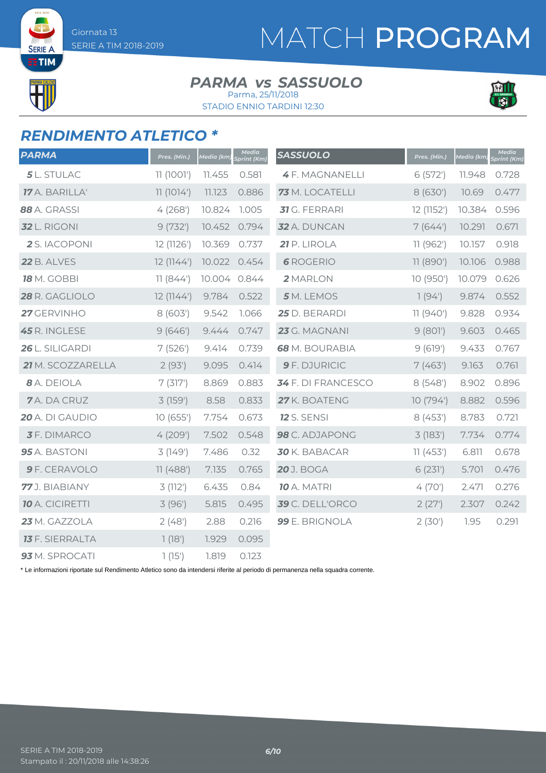SERIE A **TIM** 

## MATCH PROGRAM

#### **PARMA** *vs* SASSUOLO Parma, 25/11/2018

STADIO ENNIO TARDINI 12:30



#### *RENDIMENTO ATLETICO \**

| <b>PARMA</b>           | Pres. (Min.) | Media (km)   | Media<br>Sprint (Km) | <b>SASSUOLO</b>       | Pres. (Min.) | Media (km) | Media<br>Sprint (Km) |
|------------------------|--------------|--------------|----------------------|-----------------------|--------------|------------|----------------------|
| 5 L. STULAC            | 11 (1001')   | 11.455       | 0.581                | <b>4F. MAGNANELLI</b> | 6(572)       | 11.948     | 0.728                |
| 17 A. BARILLA'         | 11(1014)     | 11.123       | 0.886                | 73 M. LOCATELLI       | 8 (630')     | 10.69      | 0.477                |
| 88 A. GRASSI           | 4(268)       | 10.824       | 1.005                | <b>31</b> G. FERRARI  | 12 (1152')   | 10.384     | 0.596                |
| <b>32</b> L. RIGONI    | 9(732)       | 10.452       | 0.794                | 32 A. DUNCAN          | 7(644)       | 10.291     | 0.671                |
| 2 S. IACOPONI          | 12 (1126')   | 10.369       | 0.737                | 21 P. LIROLA          | 11(962)      | 10.157     | 0.918                |
| <b>22</b> B. ALVES     | 12(1144)     | 10.022       | 0.454                | <b>6</b> ROGERIO      | 11 (890')    | 10.106     | 0.988                |
| <b>18</b> M. GOBBI     | 11(844)      | 10.004 0.844 |                      | 2 MARLON              | 10 (950')    | 10.079     | 0.626                |
| 28 R. GAGLIOLO         | 12(1144)     | 9.784        | 0.522                | 5 M. LEMOS            | 7(94)        | 9.874      | 0.552                |
| 27 GERVINHO            | 8(603)       | 9.542        | 1.066                | 25 D. BERARDI         | 11(940)      | 9.828      | 0.934                |
| 45 R. INGLESE          | 9(646)       | 9.444        | 0.747                | 23 G. MAGNANI         | 9(801)       | 9.603      | 0.465                |
| 26 L. SILIGARDI        | 7(526)       | 9.414        | 0.739                | 68 M. BOURABIA        | 9(619')      | 9.433      | 0.767                |
| 21 M. SCOZZARELLA      | 2(93)        | 9.095        | 0.414                | 9 F. DJURICIC         | 7(463)       | 9.163      | 0.761                |
| 8 A. DEIOLA            | 7(317)       | 8.869        | 0.883                | 34 F. DI FRANCESCO    | 8(548)       | 8.902      | 0.896                |
| 7A. DA CRUZ            | 3 (159')     | 8.58         | 0.833                | 27 K. BOATENG         | 10 (794')    | 8.882      | 0.596                |
| 20 A. DI GAUDIO        | 10(655)      | 7.754        | 0.673                | <b>12</b> S. SENSI    | 8(453)       | 8.783      | 0.721                |
| <b>3</b> F. DIMARCO    | 4(209)       | 7.502        | 0.548                | 98 C. ADJAPONG        | 3(183)       | 7.734      | 0.774                |
| 95 A. BASTONI          | 3(149)       | 7.486        | 0.32                 | 30 K. BABACAR         | 11(453)      | 6.811      | 0.678                |
| 9 F. CERAVOLO          | 11(488)      | 7.135        | 0.765                | <b>20</b> J. BOGA     | 6(231)       | 5.701      | 0.476                |
| 77 J. BIABIANY         | 3(112)       | 6.435        | 0.84                 | <b>10</b> A. MATRI    | 4(70)        | 2.471      | 0.276                |
| <b>10</b> A. CICIRETTI | 3(96)        | 5.815        | 0.495                | 39 C. DELL'ORCO       | 2(27)        | 2.307      | 0.242                |
| 23 M. GAZZOLA          | 2(48)        | 2.88         | 0.216                | 99 E. BRIGNOLA        | 2(30)        | 1.95       | 0.291                |
| <b>13</b> F. SIERRALTA | 1(18')       | 1.929        | 0.095                |                       |              |            |                      |
| 93 M. SPROCATI         | 1(15)        | 1.819        | 0.123                |                       |              |            |                      |

\* Le informazioni riportate sul Rendimento Atletico sono da intendersi riferite al periodo di permanenza nella squadra corrente.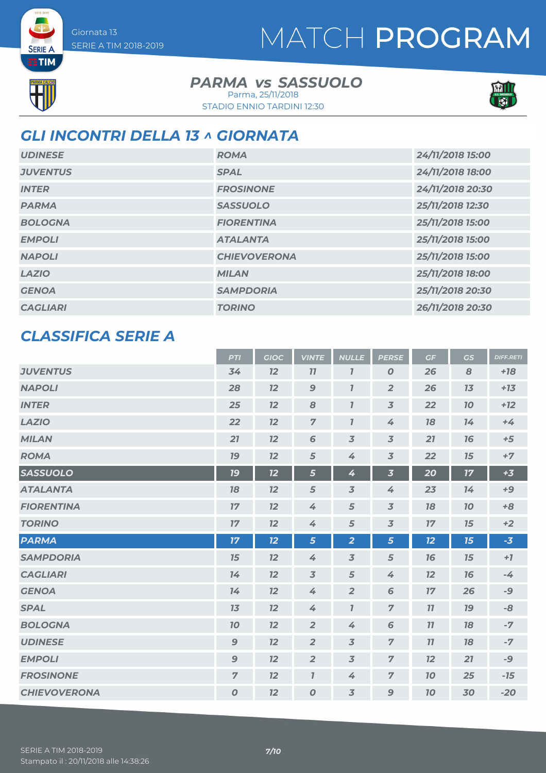### MATCH PROGRAM



**SERIE A** 

#### **PARMA** *vs* SASSUOLO

STADIO ENNIO TARDINI 12:30 Parma, 25/11/2018



#### *GLI INCONTRI DELLA 13 ^ GIORNATA*

| <b>UDINESE</b>  | <b>ROMA</b>         | 24/11/2018 15:00 |
|-----------------|---------------------|------------------|
| <b>JUVENTUS</b> | <b>SPAL</b>         | 24/11/2018 18:00 |
| <b>INTER</b>    | <b>FROSINONE</b>    | 24/11/2018 20:30 |
| <b>PARMA</b>    | <b>SASSUOLO</b>     | 25/11/2018 12:30 |
| <b>BOLOGNA</b>  | <b>FIORENTINA</b>   | 25/11/2018 15:00 |
| <b>EMPOLI</b>   | <b>ATALANTA</b>     | 25/11/2018 15:00 |
| <b>NAPOLI</b>   | <b>CHIEVOVERONA</b> | 25/11/2018 15:00 |
| <b>LAZIO</b>    | <b>MILAN</b>        | 25/11/2018 18:00 |
| <b>GENOA</b>    | <b>SAMPDORIA</b>    | 25/11/2018 20:30 |
| <b>CAGLIARI</b> | <b>TORINO</b>       | 26/11/2018 20:30 |

#### *CLASSIFICA SERIE A*

|                     | <b>PTI</b>     | <b>GIOC</b> | <b>VINTE</b>        | <b>NULLE</b>            | <b>PERSE</b>             | GF | <b>GS</b> | <b>DIFF.RETI</b> |
|---------------------|----------------|-------------|---------------------|-------------------------|--------------------------|----|-----------|------------------|
| <b>JUVENTUS</b>     | 34             | 12          | 77                  | $\overline{\mathbf{I}}$ | $\boldsymbol{0}$         | 26 | 8         | $+18$            |
| <b>NAPOLI</b>       | 28             | 12          | 9                   | $\mathbf{I}$            | $\overline{2}$           | 26 | 13        | $+13$            |
| <b>INTER</b>        | 25             | 12          | 8                   | $\mathbf{I}$            | $\overline{\mathbf{3}}$  | 22 | 10        | $+12$            |
| <b>LAZIO</b>        | 22             | 12          | $\overline{7}$      | $\mathbf{I}$            | 4                        | 18 | 14        | $+4$             |
| <b>MILAN</b>        | 21             | 12          | $6\phantom{1}$      | $\overline{3}$          | $\overline{\mathbf{3}}$  | 21 | 76        | $+5$             |
| <b>ROMA</b>         | 19             | 12          | 5                   | 4                       | $\overline{\mathbf{3}}$  | 22 | 15        | $+7$             |
| <b>SASSUOLO</b>     | 19             | 12          | 5                   | 4                       | $\overline{\mathbf{3}}$  | 20 | 17        | $+3$             |
| <b>ATALANTA</b>     | 18             | 12          | 5                   | $\overline{3}$          | 4                        | 23 | 14        | $+9$             |
| <b>FIORENTINA</b>   | 17             | 12          | 4                   | 5                       | $\overline{3}$           | 18 | 10        | $+8$             |
| <b>TORINO</b>       | 17             | 12          | 4                   | 5                       | $\overline{\mathcal{S}}$ | 17 | 15        | $+2$             |
| <b>PARMA</b>        | 17             | 12          | 5                   | $\overline{2}$          | 5                        | 12 | 15        | $-3$             |
| <b>SAMPDORIA</b>    | 15             | 12          | 4                   | $\overline{3}$          | 5                        | 76 | 15        | $+7$             |
| <b>CAGLIARI</b>     | 14             | 12          | $\overline{3}$      | 5                       | 4                        | 12 | 76        | $-4$             |
| <b>GENOA</b>        | 14             | 12          | 4                   | $\overline{2}$          | 6                        | 17 | 26        | -9               |
| <b>SPAL</b>         | 13             | 12          | 4                   | $\mathbf{7}$            | $\overline{z}$           | 77 | 79        | -8               |
| <b>BOLOGNA</b>      | 10             | 12          | $\overline{2}$      | 4                       | 6                        | 11 | 18        | $-7$             |
| <b>UDINESE</b>      | $\mathbf{9}$   | 12          | $\overline{2}$      | $\overline{3}$          | $\overline{z}$           | 11 | 78        | $-7$             |
| <b>EMPOLI</b>       | $\mathbf{9}$   | 12          | $\overline{2}$      | 3                       | $\overline{7}$           | 12 | 21        | -9               |
| <b>FROSINONE</b>    | $\overline{7}$ | 12          | $\boldsymbol{\eta}$ | 4                       | $\overline{z}$           | 70 | 25        | $-15$            |
| <b>CHIEVOVERONA</b> | $\pmb{O}$      | 12          | $\boldsymbol{O}$    | $\overline{3}$          | 9                        | 10 | 30        | $-20$            |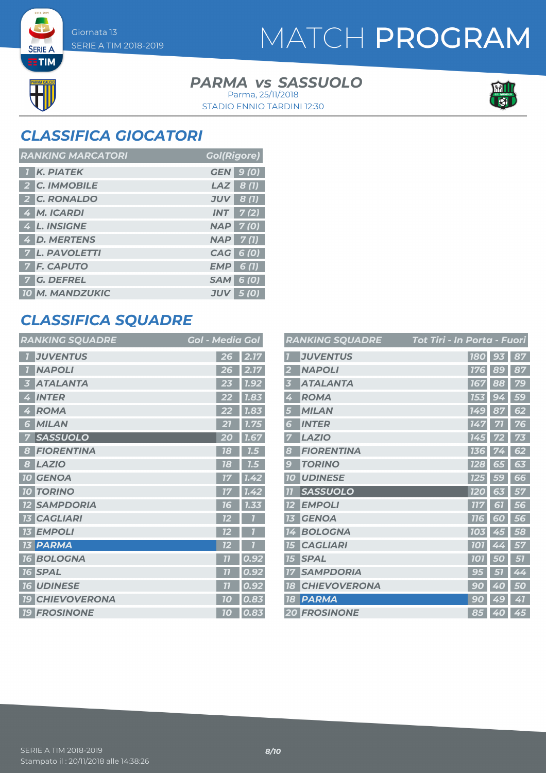### MATCH PROGRAM

### **PARMA** *vs* SASSUOLO



**SERIE A ETIM** 

> STADIO ENNIO TARDINI 12:30 Parma, 25/11/2018



### *CLASSIFICA GIOCATORI*

| <b>RANKING MARCATORI</b> | <b>Gol(Rigore)</b> |
|--------------------------|--------------------|
| <b>K. PIATEK</b>         | <b>GEN</b> 9 (0)   |
| 2 C. IMMOBILE            | $LAZ$ 8(1)         |
| 2 C. RONALDO             | $JUV$ 8 (1)        |
| 4 M. ICARDI              | $INT$ $7(2)$       |
| 4 L. INSIGNE             | <b>NAP 7(0)</b>    |
| 4 D. MERTENS             | <b>NAP</b> 7(1)    |
| <b>7 L. PAVOLETTI</b>    | CAG 6 (0)          |
| <b>7 F. CAPUTO</b>       | $EMP$ 6(1)         |
| 7 G. DEFREL              | <b>SAM 6 (0)</b>   |
| <b>10 M. MANDZUKIC</b>   | $JUV$ 5 (0)        |

#### *CLASSIFICA SQUADRE*

| <b>RANKING SQUADRE</b>            | Gol - Media Gol         |
|-----------------------------------|-------------------------|
| <b>JUVENTUS</b>                   | 2.17<br>26              |
| <b>NAPOLI</b><br>ī.               | 2.17<br>26              |
| <b>ATALANTA</b>                   | 1.92<br>23              |
| <b>INTER</b><br>4                 | 1.83<br>22              |
| <b>ROMA</b><br>4                  | 1.83<br>22              |
| <b>MILAN</b><br>6                 | 1.75                    |
| <b>SASSUOLO</b><br>7              | 1.67<br>20              |
| <b>FIORENTINA</b><br>8            | 18<br>1.5               |
| <b>LAZIO</b><br>8                 | 7.5<br>18               |
| <b>10 GENOA</b>                   | 1.42<br>1/7             |
| <b>TORINO</b><br>10 <sup>1</sup>  | 1.42                    |
| <b>SAMPDORIA</b>                  | 1.33<br>16              |
| <b>CAGLIARI</b><br>13             | 12                      |
| <b>13 EMPOLI</b>                  | ī<br>12                 |
| <b>13 PARMA</b>                   | 72                      |
| <b>BOLOGNA</b><br><b>16</b>       | $\overline{11}$<br>0.92 |
| <b>16 SPAL</b>                    | 7 <sup>7</sup><br>0.92  |
| <b>UDINESE</b><br>16 <sup>1</sup> | 0.92<br>77              |
| <b>CHIEVOVERONA</b><br><b>19</b>  | 0.83<br>10              |
| <b>19 FROSINONE</b>               | 0.83<br>10              |

|                         | <b>RANKING SQUADRE</b> | Tot Tiri - In Porta - Fuori |           |    |
|-------------------------|------------------------|-----------------------------|-----------|----|
|                         | <b>JUVENTUS</b>        | <b>180</b>                  | 93        | 87 |
|                         | <b>NAPOLI</b>          | <b>176</b>                  | 89        | 87 |
| $\overline{\mathbf{3}}$ | <b>ATALANTA</b>        | <b>167</b>                  | 88        | 79 |
| 4                       | <b>ROMA</b>            | 153                         | 94        | 59 |
| 5                       | <b>MILAN</b>           | <b>149</b>                  | 87        | 62 |
| 6                       | <b>INTER</b>           | 147                         | 71        | 76 |
| 7                       | <b>LAZIO</b>           | 145                         | 72        | 73 |
| 8                       | <b>FIORENTINA</b>      | 136                         |           | 62 |
| 9                       | <b>TORINO</b>          | <b>128</b>                  | 65        | 63 |
| 10                      | <b>UDINESE</b>         | <b>125</b>                  | <b>59</b> | 66 |
| 7 <sub>1</sub>          | <b>SASSUOLO</b>        | <b>120</b>                  | 63        | 57 |
| 12                      | <b>EMPOLI</b>          | <b>777</b>                  | 61        | 56 |
| 13                      | <b>GENOA</b>           | <b>716</b>                  | 60        | 56 |
| 14                      | <b>BOLOGNA</b>         | <b>103</b>                  | 45        | 58 |
| <b>15</b>               | <b>CAGLIARI</b>        | <b>707</b>                  | 4<br>4    | 57 |
| <b>15</b>               | <b>SPAL</b>            | <b>101</b>                  | 50        | 51 |
| 17                      | <b>SAMPDORIA</b>       | 95                          | 51        | 44 |
| 18                      | <b>CHIEVOVERONA</b>    | 9<br>0                      | 40        | 50 |
| 18                      | <b>PARMA</b>           | 90                          | 49        | 41 |
|                         | <b>20 FROSINONE</b>    |                             | 85 40     | 45 |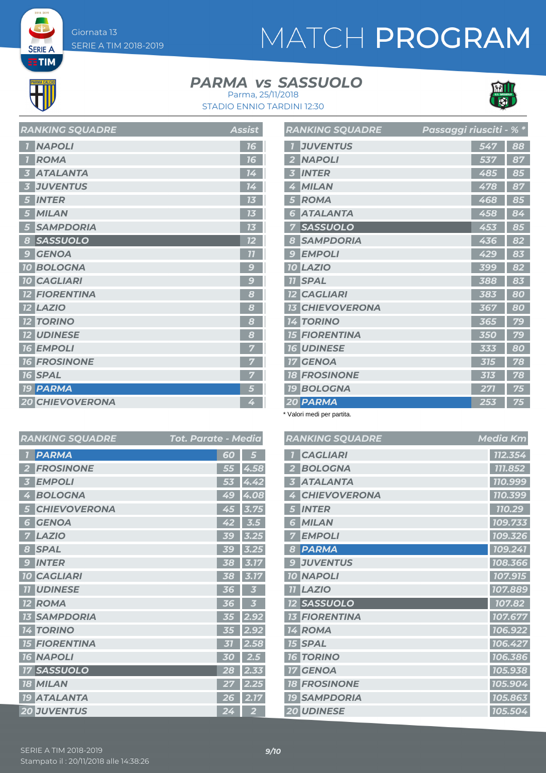**SERIE A ETIM** 

## MATCH PROGRAM

#### **PARMA** *vs* SASSUOLO



STADIO ENNIO TARDINI 12:30 Parma, 25/11/2018

| בתשמש שפט שוותו והי    | 122124          |
|------------------------|-----------------|
| <b>NAPOLI</b>          | 16              |
| <b>ROMA</b>            | 16              |
| <b>ATALANTA</b>        | 14              |
| <b>JUVENTUS</b><br>3   | 14              |
| <b>INTER</b><br>5      | 13              |
| <b>MILAN</b><br>5      | 13              |
| <b>SAMPDORIA</b><br>5  | 73              |
| SASSUOLO<br>8          | $\overline{12}$ |
| <b>GENOA</b><br>9      | 77              |
| <b>10 BOLOGNA</b>      | $\overline{S}$  |
| <b>10 CAGLIARI</b>     | $\overline{S}$  |
| <b>12 FIORENTINA</b>   | 8               |
| <b>12 LAZIO</b>        | 8               |
| <b>12 TORINO</b>       | 8               |
| <b>12 UDINESE</b>      | 8               |
| <b>16 EMPOLI</b>       | 7               |
| <b>16 FROSINONE</b>    |                 |
| <b>16 SPAL</b>         | 7               |
| <b>19 PARMA</b>        | 5               |
| <b>20 CHIEVOVERONA</b> | 4               |
|                        |                 |

*RANKING SOUADRE* Assist

|                         | <b>RANKING SQUADRE</b> | Passaggi riusciti - % * |     |    |
|-------------------------|------------------------|-------------------------|-----|----|
|                         | <b>JUVENTUS</b>        |                         | 547 | 88 |
| $\overline{\mathbf{2}}$ | <b>NAPOLI</b>          |                         | 537 | 87 |
| 3                       | <b>INTER</b>           |                         | 485 | 85 |
| 4                       | <b>MILAN</b>           |                         | 478 | 87 |
| 5                       | <b>ROMA</b>            |                         | 468 | 85 |
| 6                       | <b>ATALANTA</b>        |                         | 458 | 84 |
| 7                       | <b>SASSUOLO</b>        |                         | 453 | 85 |
| 8                       | <b>SAMPDORIA</b>       |                         | 436 | 82 |
| $\overline{S}$          | <b>EMPOLI</b>          |                         | 429 | 83 |
| 10                      | <b>LAZIO</b>           |                         | 399 | 82 |
|                         | <b>TI SPAL</b>         |                         | 388 | 83 |
|                         | <b>12 CAGLIARI</b>     |                         | 383 | 80 |
|                         | <b>13 CHIEVOVERONA</b> |                         | 367 | 80 |
|                         | <b>14 TORINO</b>       |                         | 365 | 79 |
|                         | <b>15 FIORENTINA</b>   |                         | 350 | 79 |
|                         | <b>16 UDINESE</b>      |                         | 333 | 80 |
|                         | <b>17 GENOA</b>        |                         | 315 | 78 |
|                         | <b>18 FROSINONE</b>    |                         | 313 | 78 |
|                         | <b>19 BOLOGNA</b>      |                         | 271 | 75 |
|                         | 20 PARMA               |                         | 253 | 75 |

\* Valori medi per partita.

| <b>Tot. Parate - Media</b> | <b>RANKING SQUADRE</b>          | <b>Media Km</b> |
|----------------------------|---------------------------------|-----------------|
| 60<br>5                    | <b>CAGLIARI</b>                 | 112.354         |
| 4.58<br>55                 | <b>BOLOGNA</b>                  | 111.852         |
| 4.42<br>53                 | <b>ATALANTA</b>                 | 110.999         |
| 4.08<br>49                 | <b>CHIEVOVERONA</b>             | 110.399         |
| 3.75<br>45                 | <b>INTER</b>                    | 110.29          |
| 42<br>$\overline{3.5}$     | <b>MILAN</b><br>6               | 109.733         |
| 39<br>3.25                 | <b>EMPOLI</b>                   | 109.326         |
| 3.25<br>39                 | <b>PARMA</b>                    | 109.241         |
| 3.17<br>38                 | <b>JUVENTUS</b>                 | 108.366         |
| 3.17<br>38                 | <b>10 NAPOLI</b>                | 107.915         |
| 36<br>3                    | <b>11 LAZIO</b>                 | 107.889         |
| 3<br>36                    | <b>12 SASSUOLO</b>              | 107.82          |
| 2.92<br>35                 | <b>13 FIORENTINA</b>            | 107.677         |
| 2.92<br>35                 | <b>14 ROMA</b>                  | 106.922         |
| 2.58<br>31                 | <b>15 SPAL</b>                  | 106.427         |
| 2.5<br>30                  | <b>16 TORINO</b>                | 106.386         |
| 28<br>2.33                 | <b>GENOA</b><br>17 <sup>1</sup> | 105.938         |
| 2.25<br>27                 | <b>18 FROSINONE</b>             | 105.904         |
| 2.17<br>26                 | <b>19 SAMPDORIA</b>             | 105.863         |
| 24<br>$\overline{2}$       | <b>20 UDINESE</b>               | 105.504         |

| <b>PARMA</b>                     | 60        | 5              |
|----------------------------------|-----------|----------------|
| <b>FROSINONE</b>                 | 55        | 4.58           |
| <b>EMPOLI</b>                    | 53        | 4.42           |
| <b>BOLOGNA</b>                   | 49        | 4.08           |
| <b>CHIEVOVERONA</b>              | 45        | 3.75           |
| <b>GENOA</b><br>Б                | 42        | 3.5            |
| <b>LAZIO</b>                     | <b>39</b> | 3.25           |
| <b>SPAL</b><br>8                 | 5c        | 3.25           |
| <b>INTER</b><br>$\bullet$        | 38        | 3.17           |
| <b>10 CAGLIARI</b>               | 38        | 3.17           |
| <b>UDINESE</b><br>7 <sub>1</sub> | 36        | 3              |
| <b>12 ROMA</b>                   | 36        | 3              |
| <b>SAMPDORIA</b><br>13           | 35        | 2.92           |
| <b>TORINO</b><br>14              | 35        | 2.92           |
| <b>FIORENTINA</b>                | 31        | 2.58           |
| <b>NAPOLI</b><br>6               | 0<br>51   | 2.5            |
| <b>17 SASSUOLO</b>               | 28        | 2.33           |
| <b>18 MILAN</b>                  | 27        | 2.25           |
| <b>19 ATALANTA</b>               | 26        | 2.17           |
| <b>20 JUVENTUS</b>               | 24        | $\overline{2}$ |

**RANKING SOUADRE**